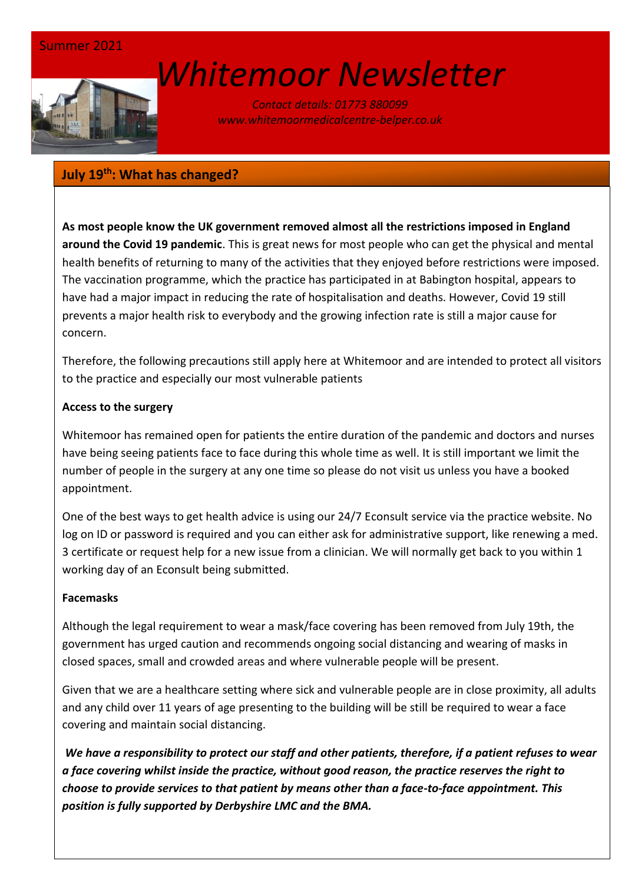

# *[W](http://www.google.co.uk/url?sa=i&rct=j&q=&esrc=s&source=images&cd=&cad=rja&uact=8&ved=0ahUKEwin-cyyiKnSAhVEWBQKHSM6ALcQjRwIBw&url=http://www.marsh-associates.org/marsh%20associates%20healthcare.html&psig=AFQjCNFsQSs3O1ON_CSbThOIRhZZ0AZsGQ&ust=1488037117603691)hitemoor Newsletter*

*Contact details: 01773 880099 www.whitemoormedicalcentre-belper.co.uk*

# **July 19th: What has changed?**

**As most people know the UK government removed almost all the restrictions imposed in England around the Covid 19 pandemic**. This is great news for most people who can get the physical and mental health benefits of returning to many of the activities that they enjoyed before restrictions were imposed. The vaccination programme, which the practice has participated in at Babington hospital, appears to have had a major impact in reducing the rate of hospitalisation and deaths. However, Covid 19 still prevents a major health risk to everybody and the growing infection rate is still a major cause for concern.

Therefore, the following precautions still apply here at Whitemoor and are intended to protect all visitors to the practice and especially our most vulnerable patients

# **Access to the surgery**

Whitemoor has remained open for patients the entire duration of the pandemic and doctors and nurses have being seeing patients face to face during this whole time as well. It is still important we limit the number of people in the surgery at any one time so please do not visit us unless you have a booked appointment.

One of the best ways to get health advice is using our 24/7 Econsult service via the practice website. No log on ID or password is required and you can either ask for administrative support, like renewing a med. 3 certificate or request help for a new issue from a clinician. We will normally get back to you within 1 working day of an Econsult being submitted.

# **Facemasks**

Although the legal requirement to wear a mask/face covering has been removed from July 19th, the government has urged caution and recommends ongoing social distancing and wearing of masks in closed spaces, small and crowded areas and where vulnerable people will be present.

Given that we are a healthcare setting where sick and vulnerable people are in close proximity, all adults and any child over 11 years of age presenting to the building will be still be required to wear a face covering and maintain social distancing.

*We have a responsibility to protect our staff and other patients, therefore, if a patient refuses to wear a face covering whilst inside the practice, without good reason, the practice reserves the right to choose to provide services to that patient by means other than a face-to-face appointment. This position is fully supported by Derbyshire LMC and the BMA.*